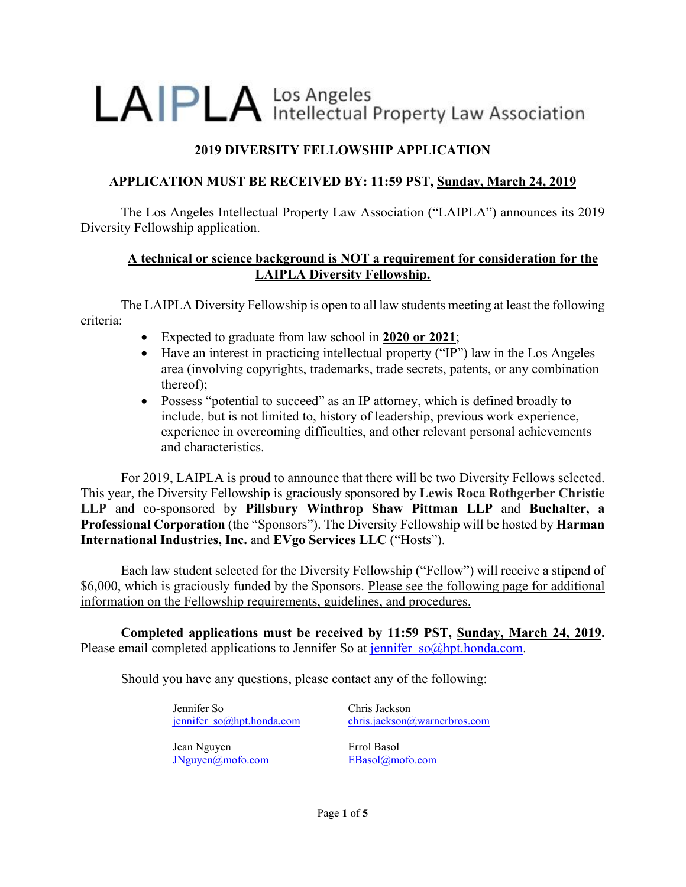# LAIPLA Intellectual Property Law Association

# **2019 DIVERSITY FELLOWSHIP APPLICATION**

## **APPLICATION MUST BE RECEIVED BY: 11:59 PST, Sunday, March 24, 2019**

The Los Angeles Intellectual Property Law Association ("LAIPLA") announces its 2019 Diversity Fellowship application.

### **A technical or science background is NOT a requirement for consideration for the LAIPLA Diversity Fellowship.**

The LAIPLA Diversity Fellowship is open to all law students meeting at least the following criteria:

- Expected to graduate from law school in **2020 or 2021**;
- Have an interest in practicing intellectual property ("IP") law in the Los Angeles area (involving copyrights, trademarks, trade secrets, patents, or any combination thereof);
- Possess "potential to succeed" as an IP attorney, which is defined broadly to include, but is not limited to, history of leadership, previous work experience, experience in overcoming difficulties, and other relevant personal achievements and characteristics.

For 2019, LAIPLA is proud to announce that there will be two Diversity Fellows selected. This year, the Diversity Fellowship is graciously sponsored by **Lewis Roca Rothgerber Christie LLP** and co-sponsored by **Pillsbury Winthrop Shaw Pittman LLP** and **Buchalter, a Professional Corporation** (the "Sponsors"). The Diversity Fellowship will be hosted by **Harman International Industries, Inc.** and **EVgo Services LLC** ("Hosts").

Each law student selected for the Diversity Fellowship ("Fellow") will receive a stipend of \$6,000, which is graciously funded by the Sponsors. Please see the following page for additional information on the Fellowship requirements, guidelines, and procedures.

**Completed applications must be received by 11:59 PST, Sunday, March 24, 2019.**  Please email completed applications to Jennifer So at jennifer  $so@hpt.honda.com$ .

Should you have any questions, please contact any of the following:

Jennifer So jennifer\_so@hpt.honda.com

Jean Nguyen JNguyen@mofo.com Chris Jackson chris.jackson@warnerbros.com

Errol Basol EBasol@mofo.com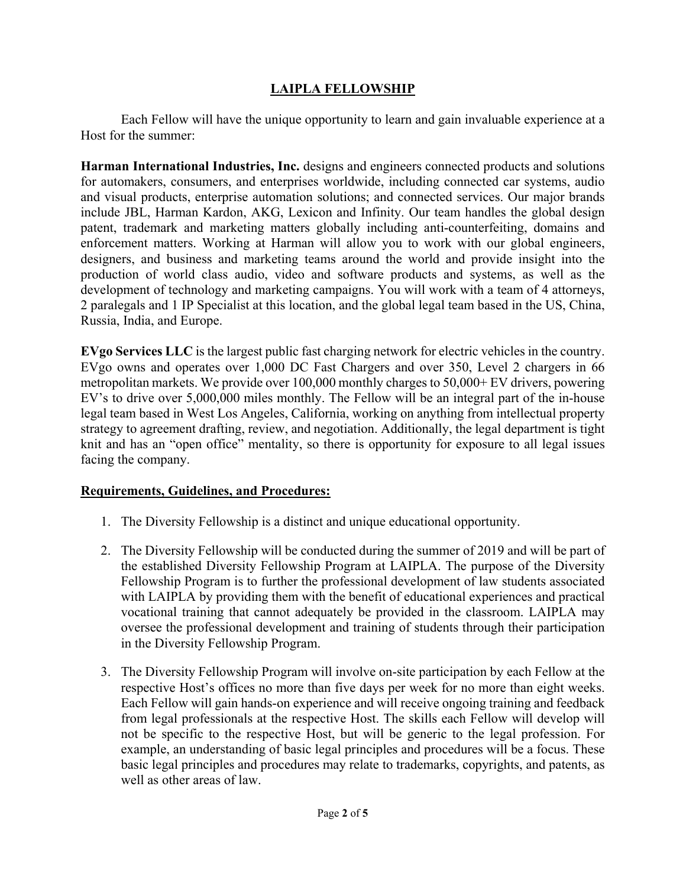## **LAIPLA FELLOWSHIP**

Each Fellow will have the unique opportunity to learn and gain invaluable experience at a Host for the summer:

**Harman International Industries, Inc.** designs and engineers connected products and solutions for automakers, consumers, and enterprises worldwide, including connected car systems, audio and visual products, enterprise automation solutions; and connected services. Our major brands include JBL, Harman Kardon, AKG, Lexicon and Infinity. Our team handles the global design patent, trademark and marketing matters globally including anti-counterfeiting, domains and enforcement matters. Working at Harman will allow you to work with our global engineers, designers, and business and marketing teams around the world and provide insight into the production of world class audio, video and software products and systems, as well as the development of technology and marketing campaigns. You will work with a team of 4 attorneys, 2 paralegals and 1 IP Specialist at this location, and the global legal team based in the US, China, Russia, India, and Europe.

**EVgo Services LLC** is the largest public fast charging network for electric vehicles in the country. EVgo owns and operates over 1,000 DC Fast Chargers and over 350, Level 2 chargers in 66 metropolitan markets. We provide over 100,000 monthly charges to 50,000+ EV drivers, powering EV's to drive over 5,000,000 miles monthly. The Fellow will be an integral part of the in-house legal team based in West Los Angeles, California, working on anything from intellectual property strategy to agreement drafting, review, and negotiation. Additionally, the legal department is tight knit and has an "open office" mentality, so there is opportunity for exposure to all legal issues facing the company.

#### **Requirements, Guidelines, and Procedures:**

- 1. The Diversity Fellowship is a distinct and unique educational opportunity.
- 2. The Diversity Fellowship will be conducted during the summer of 2019 and will be part of the established Diversity Fellowship Program at LAIPLA. The purpose of the Diversity Fellowship Program is to further the professional development of law students associated with LAIPLA by providing them with the benefit of educational experiences and practical vocational training that cannot adequately be provided in the classroom. LAIPLA may oversee the professional development and training of students through their participation in the Diversity Fellowship Program.
- 3. The Diversity Fellowship Program will involve on-site participation by each Fellow at the respective Host's offices no more than five days per week for no more than eight weeks. Each Fellow will gain hands-on experience and will receive ongoing training and feedback from legal professionals at the respective Host. The skills each Fellow will develop will not be specific to the respective Host, but will be generic to the legal profession. For example, an understanding of basic legal principles and procedures will be a focus. These basic legal principles and procedures may relate to trademarks, copyrights, and patents, as well as other areas of law.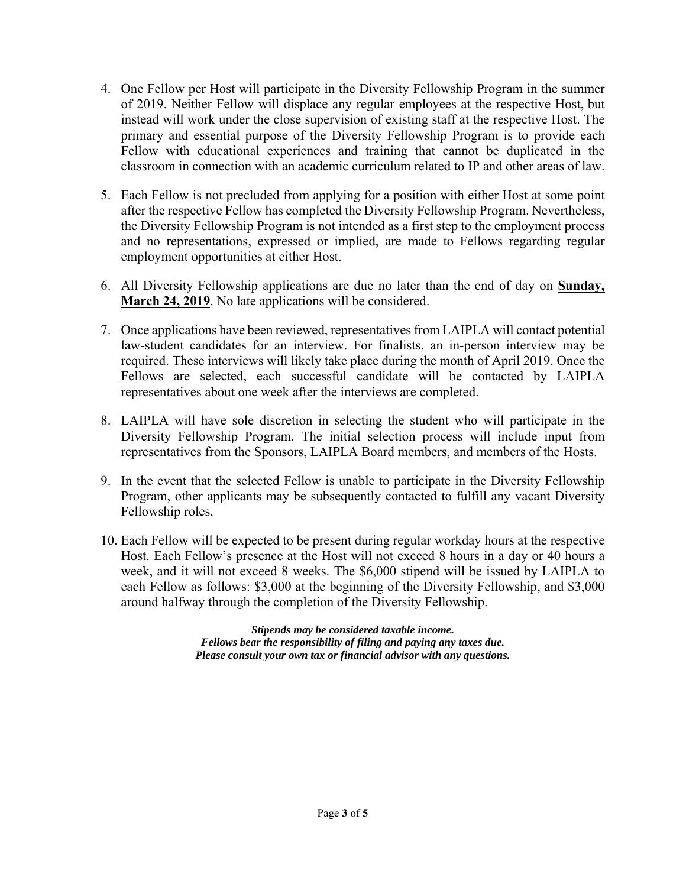- 4. One Fellow per Host will participate in the Diversity Fellowship Program in the summer of 2019. Neither Fellow will displace any regular employees at the respective Host, but instead will work under the close supervision of existing staff at the respective Host. The primary and essential purpose of the Diversity Fellowship Program is to provide each Fellow with educational experiences and training that cannot be duplicated in the classroom in connection with an academic curriculum related to IP and other areas of law.
- 5. Each Fellow is not precluded from applying for a position with either Host at some point after the respective Fellow has completed the Diversity Fellowship Program. Nevertheless, the Diversity Fellowship Program is not intended as a first step to the employment process and no representations, expressed or implied, are made to Fellows regarding regular employment opportunities at either Host.
- 6. All Diversity Fellowship applications are due no later than the end of day on **Sunday, March 24, 2019**. No late applications will be considered.
- 7. Once applications have been reviewed, representatives from LAIPLA will contact potential law-student candidates for an interview. For finalists, an in-person interview may be required. These interviews will likely take place during the month of April 2019. Once the Fellows are selected, each successful candidate will be contacted by LAIPLA representatives about one week after the interviews are completed.
- 8. LAIPLA will have sole discretion in selecting the student who will participate in the Diversity Fellowship Program. The initial selection process will include input from representatives from the Sponsors, LAIPLA Board members, and members of the Hosts.
- 9. In the event that the selected Fellow is unable to participate in the Diversity Fellowship Program, other applicants may be subsequently contacted to fulfill any vacant Diversity Fellowship roles.
- 10. Each Fellow will be expected to be present during regular workday hours at the respective Host. Each Fellow's presence at the Host will not exceed 8 hours in a day or 40 hours a week, and it will not exceed 8 weeks. The \$6,000 stipend will be issued by LAIPLA to each Fellow as follows: \$3,000 at the beginning of the Diversity Fellowship, and \$3,000 around halfway through the completion of the Diversity Fellowship.

*Stipends may be considered taxable income. Fellows bear the responsibility of filing and paying any taxes due. Please consult your own tax or financial advisor with any questions.*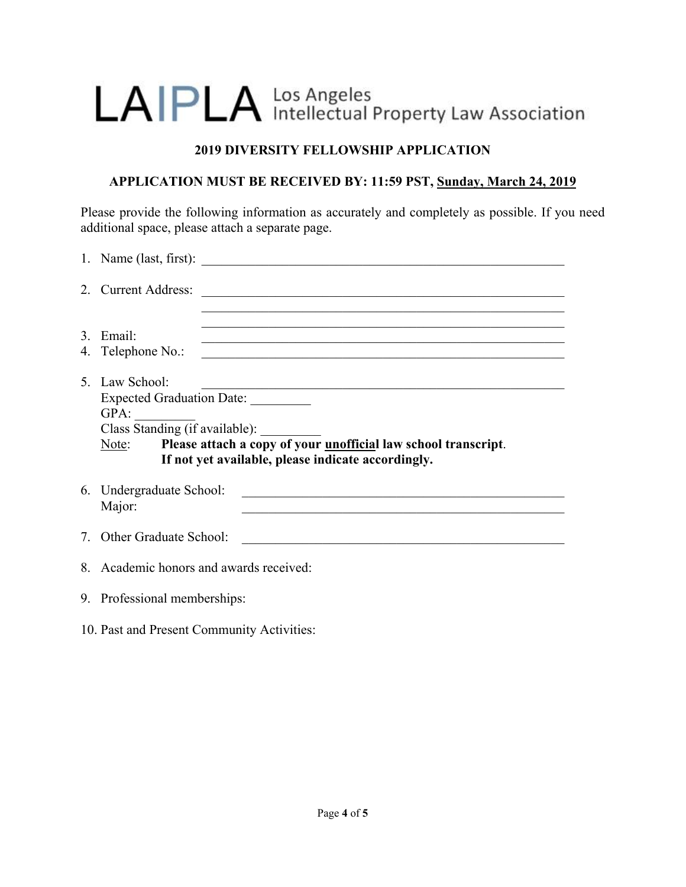# LAIPLA Intellectual Property Law Association

## **2019 DIVERSITY FELLOWSHIP APPLICATION**

## **APPLICATION MUST BE RECEIVED BY: 11:59 PST, Sunday, March 24, 2019**

Please provide the following information as accurately and completely as possible. If you need additional space, please attach a separate page.

|    | 2. Current Address:<br><u> 1980 - Johann Barn, fransk politik fotograf (d. 1980)</u>                                                                                                                                                                                                                                                      |  |  |  |  |  |
|----|-------------------------------------------------------------------------------------------------------------------------------------------------------------------------------------------------------------------------------------------------------------------------------------------------------------------------------------------|--|--|--|--|--|
| 3. | Email:<br><u> 1989 - Johann Stoff, amerikansk politiker (d. 1989)</u><br>4. Telephone No.:                                                                                                                                                                                                                                                |  |  |  |  |  |
|    | 5. Law School:<br>Expected Graduation Date:<br>GPA:<br>Class Standing (if available):<br>Please attach a copy of your <u>unofficial</u> law school transcript.<br>Note:<br>If not yet available, please indicate accordingly.                                                                                                             |  |  |  |  |  |
|    | 6. Undergraduate School:<br><u> 2000 - Johann Johann Johann Johann Johann Johann Johann Johann Johann Johann Johann Johann Johann Johann Johann Johann Johann Johann Johann Johann Johann Johann Johann Johann Johann Johann Johann Johann Johann Johann Joh</u><br>Major:<br><u> 1989 - Johann Stoff, amerikansk politiker (d. 1989)</u> |  |  |  |  |  |
|    | 7. Other Graduate School:                                                                                                                                                                                                                                                                                                                 |  |  |  |  |  |
|    | 8. Academic honors and awards received:                                                                                                                                                                                                                                                                                                   |  |  |  |  |  |
|    | 9. Professional memberships:                                                                                                                                                                                                                                                                                                              |  |  |  |  |  |

10. Past and Present Community Activities: